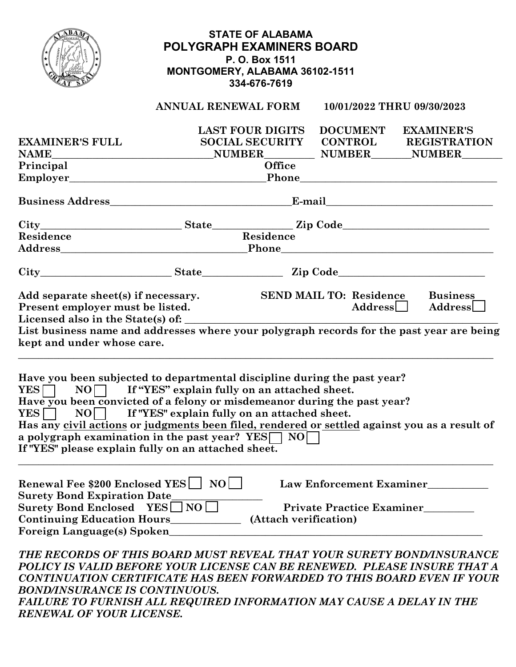|                                                                                                                                                                                                                                                                                                                                                                                |                                                   | <b>STATE OF ALABAMA</b><br><b>POLYGRAPH EXAMINERS BOARD</b><br>P. O. Box 1511<br>MONTGOMERY, ALABAMA 36102-1511<br>334-676-7619 |                                                              |                                                             |  |
|--------------------------------------------------------------------------------------------------------------------------------------------------------------------------------------------------------------------------------------------------------------------------------------------------------------------------------------------------------------------------------|---------------------------------------------------|---------------------------------------------------------------------------------------------------------------------------------|--------------------------------------------------------------|-------------------------------------------------------------|--|
|                                                                                                                                                                                                                                                                                                                                                                                | ANNUAL RENEWAL FORM                               |                                                                                                                                 |                                                              | 10/01/2022 THRU 09/30/2023                                  |  |
| <b>EXAMINER'S FULL</b><br>NAME NAME NUMBER NUMBER NUMBER NUMBER NUMBER<br>Principal                                                                                                                                                                                                                                                                                            |                                                   | <b>LAST FOUR DIGITS</b><br><b>Office</b>                                                                                        |                                                              | DOCUMENT EXAMINER'S<br>SOCIAL SECURITY CONTROL REGISTRATION |  |
|                                                                                                                                                                                                                                                                                                                                                                                |                                                   |                                                                                                                                 |                                                              |                                                             |  |
|                                                                                                                                                                                                                                                                                                                                                                                |                                                   |                                                                                                                                 |                                                              |                                                             |  |
|                                                                                                                                                                                                                                                                                                                                                                                |                                                   |                                                                                                                                 |                                                              |                                                             |  |
| Residence                                                                                                                                                                                                                                                                                                                                                                      |                                                   | Residence                                                                                                                       |                                                              |                                                             |  |
|                                                                                                                                                                                                                                                                                                                                                                                |                                                   |                                                                                                                                 |                                                              |                                                             |  |
| City State Zip Code                                                                                                                                                                                                                                                                                                                                                            |                                                   |                                                                                                                                 |                                                              |                                                             |  |
| Present employer must be listed.<br>kept and under whose care.<br>Have you been subjected to departmental discipline during the past year?<br>$YES$ $\Box$                                                                                                                                                                                                                     | $NO$ If "YES" explain fully on an attached sheet. |                                                                                                                                 | $\rm{Address} \rule[0.1cm]{0.1cm}{0.1cm}$                    | Address                                                     |  |
| Have you been convicted of a felony or misdemeanor during the past year?<br><b>YES</b><br>N()<br>Has any civil actions or judgments been filed, rendered or settled against you as a result of<br>a polygraph examination in the past year? YES<br>If "YES" please explain fully on an attached sheet.                                                                         | If "YES" explain fully on an attached sheet.      | <b>NO</b>                                                                                                                       |                                                              |                                                             |  |
| Renewal Fee \$200 Enclosed YES<br><b>Surety Bond Expiration Date</b><br>Surety Bond Enclosed YES I NO<br>Continuing Education Hours____________<br>Foreign Language(s) Spoken                                                                                                                                                                                                  | $NO$                                              | (Attach verification)                                                                                                           | Law Enforcement Examiner<br><b>Private Practice Examiner</b> |                                                             |  |
| THE RECORDS OF THIS BOARD MUST REVEAL THAT YOUR SURETY BOND/INSURANCE<br>POLICY IS VALID BEFORE YOUR LICENSE CAN BE RENEWED. PLEASE INSURE THAT A<br>CONTINUATION CERTIFICATE HAS BEEN FORWARDED TO THIS BOARD EVEN IF YOUR<br><b>BOND/INSURANCE IS CONTINUOUS.</b><br>FAILURE TO FURNISH ALL REQUIRED INFORMATION MAY CAUSE A DELAY IN THE<br><b>RENEWAL OF YOUR LICENSE.</b> |                                                   |                                                                                                                                 |                                                              |                                                             |  |